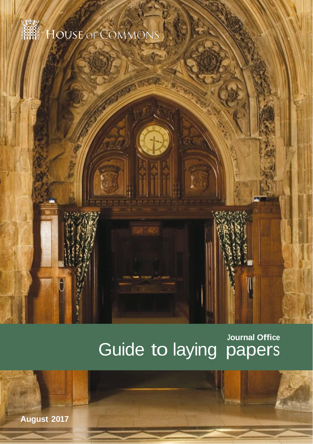

**FOUSE OF COMMON** 

## **Journal Office** Guide to laying papers

**August 2017**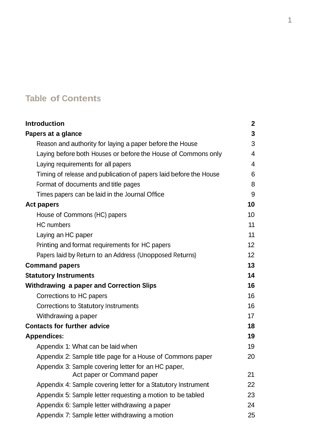## **Table of Contents**

| <b>Introduction</b>                                               | 2  |
|-------------------------------------------------------------------|----|
| Papers at a glance                                                | 3  |
| Reason and authority for laying a paper before the House          | 3  |
| Laying before both Houses or before the House of Commons only     | 4  |
| Laying requirements for all papers                                | 4  |
| Timing of release and publication of papers laid before the House | 6  |
| Format of documents and title pages                               | 8  |
| Times papers can be laid in the Journal Office                    | 9  |
| <b>Act papers</b>                                                 | 10 |
| House of Commons (HC) papers                                      | 10 |
| HC numbers                                                        | 11 |
| Laying an HC paper                                                | 11 |
| Printing and format requirements for HC papers                    | 12 |
| Papers laid by Return to an Address (Unopposed Returns)           | 12 |
| <b>Command papers</b>                                             | 13 |
| <b>Statutory Instruments</b>                                      | 14 |
| <b>Withdrawing a paper and Correction Slips</b>                   | 16 |
| Corrections to HC papers                                          | 16 |
| Corrections to Statutory Instruments                              | 16 |
| Withdrawing a paper                                               | 17 |
| <b>Contacts for further advice</b>                                | 18 |
| <b>Appendices:</b>                                                | 19 |
| Appendix 1: What can be laid when                                 | 19 |
| Appendix 2: Sample title page for a House of Commons paper        | 20 |
| Appendix 3: Sample covering letter for an HC paper,               |    |
| Act paper or Command paper                                        | 21 |
| Appendix 4: Sample covering letter for a Statutory Instrument     | 22 |
| Appendix 5: Sample letter requesting a motion to be tabled        | 23 |
| Appendix 6: Sample letter withdrawing a paper                     | 24 |
| Appendix 7: Sample letter withdrawing a motion                    | 25 |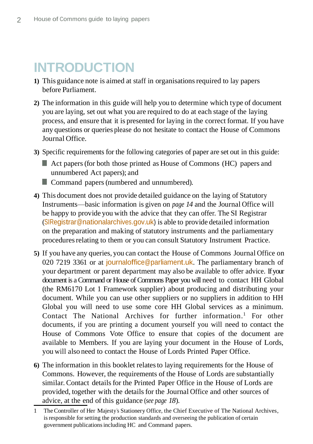## **INTRODUCTION**

- **1)** This guidance note is aimed at staff in organisationsrequired to lay papers before Parliament.
- **2)** The information in this guide will help you to determine which type of document you are laying, set out what you are required to do at each stage of the laying process, and ensure that it is presented for laying in the correct format. If you have any questions or queries please do not hesitate to contact the House of Commons Journal Office.
- **3)** Specific requirements for the following categories of paper are set out in this guide:
	- Act papers (for both those printed as House of Commons (HC) papers and unnumbered Act papers); and
	- Command papers (numbered and unnumbered).
- **4)** This document does not provide detailed guidance on the laying of Statutory Instruments—basic information is given on *page 14* and the Journal Office will be happy to provide you with the advice that they can offer. The SI Registrar (SIRegistrar@nationalarchives.gov.uk) is able to provide detailed information on the preparation and making of statutory instruments and the parliamentary procedures relating to them or you can consult Statutory Instrument Practice.
- **5)** If you have any queries, you can contact the House of Commons Journal Office on 020 7219 3361 or at journal of fice @parliament[.](mailto:journaloffice@parliament.uk)uk. The parliamentary branch of your department or parent department may also be available to offer advice. If your document is a Command or House of Commons Paper you will need to contact HH Global (the RM6170 Lot 1 Framework supplier) about producing and distributing your document. While you can use other suppliers or no suppliers in addition to HH Global you will need to use some core HH Global services as a minimum. Contact The National Archives for further information. <sup>1</sup> For other documents, if you are printing a document yourself you will need to contact the House of Commons Vote Office to ensure that copies of the document are available to Members. If you are laying your document in the House of Lords, you will also need to contact the House of Lords Printed Paper Office.
- **6)** The information in this booklet relatesto laying requirements for the House of Commons. However, the requirements of the House of Lords are substantially similar. Contact details for the Printed Paper Office in the House of Lords are provided, together with the detailsfor the Journal Office and other sources of advice, at the end of this guidance (*see page 18*).

<sup>1</sup> The Controller of Her Majesty's Stationery Office, the Chief Executive of The National Archives, is responsible for setting the production standards and overseeing the publication of certain government publicationsincluding HC and Command papers.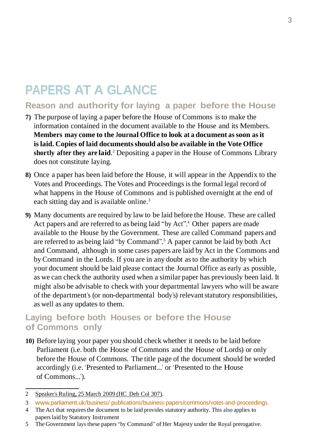## **PAPERS AT A GLANCE**

## **Reason and authority for laying a paper before the House**

- **7)** The purpose of laying a paper before the House of Commons isto make the information contained in the document available to the House and its Members. **Members may come to the Journal Office to look at a document as soon as it islaid. Copies of laid documentsshould also be available in the Vote Office shortly after they are laid**. <sup>2</sup> Depositing a paper in the House of Commons Library does not constitute laying.
- **8)** Once a paper has been laid before the House, it will appear in the Appendix to the Votes and Proceedings. The Votes and Proceedings is the formal legal record of what happens in the House of Commons and is published overnight at the end of each sitting day and is available online.<sup>3</sup>
- **9)** Many documents are required by law to be laid before the House. These are called Act papers and are referred to as being laid "by Act". <sup>4</sup>Other papers are made available to the House by the Government. These are called Command papers and are referred to as being laid "by Command". <sup>5</sup> A paper cannot be laid by both Act and Command, although in some cases papers are laid by Act in the Commons and by Command in the Lords. If you are in any doubt asto the authority by which your document should be laid please contact the Journal Office as early as possible, as we can check the authority used when a similar paper has previously been laid. It might also be advisable to check with your departmental lawyers who will be aware of the department's (or non-departmental body's) relevantstatutory responsibilities, as well as any updates to them.

### **Laying before both Houses or before the House of Commons only**

**10)** Before laying your paper you should check whether it needs to be laid before Parliament (i.e. both the House of Commons and the House of Lords) or only before the House of Commons. The title page of the document should be worded accordingly (i.e. 'Presented to Parliament...' or 'Presented to the House of Commons...').

3 www.parliament.uk/business/ [publications/business-papers/commons/votes-and-proceedings](http://www.parliament.uk/business/publications/business-papers/commons/votes-and-proceedings/#session%3D27%26year%3D2016%26month%3D0%26day%3D25).

5 The Government lays these papers "by Command" of Her Majesty under the Royal prerogative.

<sup>2</sup> [Speaker's](http://www.publications.parliament.uk/pa/cm200809/cmhansrd/cm090325/debtext/90325-0003.htm#09032538000004) Ruling, 25 March 2009 (HC Deb Col 307).

<sup>4</sup> The Act that requires the document to be laid provides statutory authority. This also applies to paperslaid by Statutory Instrument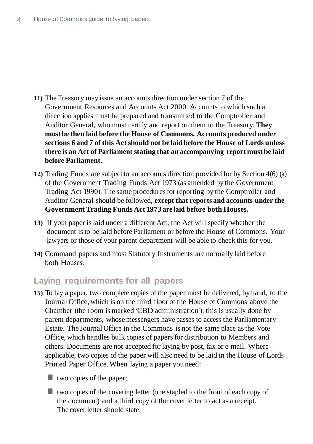- **11)** The Treasury may issue an accounts direction under section 7 of the Government Resources and Accounts Act 2000. Accounts to which such a direction applies must be prepared and transmitted to the Comptroller and Auditor General, who must certify and report on them to the Treasury. **They must be then laid before the House of Commons. Accounts produced under sections 6 and 7 of this Actshould not be laid before the House of Lords unless there is an Act of Parliament stating that an accompanying report must be laid before Parliament.**
- **12)** Trading Funds are subject to an accounts direction provided for by Section 4(6) (a) of the Government Trading Funds Act 1973 (as amended by the Government Trading Act 1990). The same procedures for reporting by the Comptroller and Auditor General should be followed, **except that reports and accounts under the Government Trading Funds Act 1973 are laid before both Houses.**
- **13)** If your paper islaid under a different Act, the Act will specify whether the document isto be laid before Parliament or before the House of Commons. Your lawyers or those of your parent department will be able to check this for you.
- **14)** Command papers and most Statutory Instruments are normally laid before both Houses.

### **Laying requirements for all papers**

- **15)** To lay a paper, two complete copies of the paper must be delivered, by hand, to the Journal Office, which is on the third floor of the House of Commons above the Chamber (the room is marked 'CBD administration'); this is usually done by parent departments, whose messengers have passes to access the Parliamentary Estate. The Journal Office in the Commons is not the same place asthe Vote Office, which handles bulk copies of papersfor distribution to Members and others. Documents are not accepted for laying by post, fax or e-mail. Where applicable, two copies of the paper will also need to be laid in the House of Lords Printed Paper Office. When laying a paper you need:
	- **two copies of the paper;**
	- $\blacksquare$  two copies of the covering letter (one stapled to the front of each copy of the document) and a third copy of the cover letter to act as a receipt. The cover letter should state: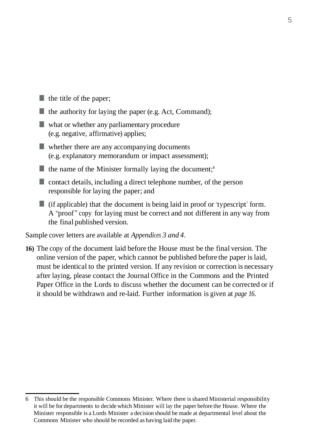- $\blacksquare$  the title of the paper;
- $\blacksquare$  the authority for laying the paper (e.g. Act, Command);
- what or whether any parliamentary procedure (e.g. negative, affirmative) applies;
- whether there are any accompanying documents (e.g. explanatory memorandum or impact assessment);
- the name of the Minister formally laying the document;<sup>6</sup>
- contact details, including a direct telephone number, of the person responsible for laying the paper; and
- $\blacksquare$  (if applicable) that the document is being laid in proof or 'typescript' form. A "proof" copy for laying must be correct and not different in any way from the final published version.

Sample cover letters are available at *Appendices 3 and 4*.

**16)** The copy of the document laid before the House must be the final version. The online version of the paper, which cannot be published before the paper islaid, must be identical to the printed version. If any revision or correction is necessary after laying, please contact the Journal Office in the Commons and the Printed Paper Office in the Lords to discuss whether the document can be corrected or if it should be withdrawn and re-laid. Further information is given at *page 16*.

<sup>6</sup> This should be the responsible Commons Minister. Where there isshared Ministerial responsibility it will be for departments to decide which Minister will lay the paper before the House. Where the Minister responsible is a Lords Minister a decision should be made at departmental level about the Commons Minister who should be recorded as having laid the paper.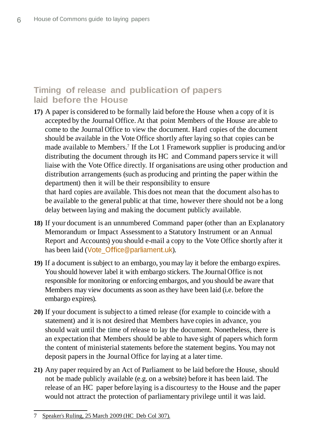## **Timing of release and publication of papers laid before the House**

- **17)** A paper is considered to be formally laid before the House when a copy of it is accepted by the Journal Office. At that point Members of the House are able to come to the Journal Office to view the document. Hard copies of the document should be available in the Vote Office shortly after laying so that copies can be made available to Members. <sup>7</sup>If the Lot 1 Framework supplier is producing and/or distributing the document through its HC and Command papers service it will liaise with the Vote Office directly. If organisations are using other production and distribution arrangements (such as producing and printing the paper within the department) then it will be their responsibility to ensure that hard copies are available. This does not mean that the document also has to be available to the general public at that time, however there should not be a long delay between laying and making the document publicly available.
- **18)** If your document is an unnumbered Command paper (other than an Explanatory Memorandum or Impact Assessment to a Statutory Instrument or an Annual Report and Accounts) you should e-mail a copy to the Vote Office shortly after it has been laid (Vote\_Office@parliament.uk).
- **19)** If a document issubject to an embargo, youmay lay it before the embargo expires. You should however label it with embargo stickers. The Journal Office is not responsible for monitoring or enforcing embargos, and you should be aware that Members may view documents assoon asthey have been laid (i.e. before the embargo expires).
- **20)** If your document issubject to a timed release (for example to coincide with a statement) and it is not desired that Members have copies in advance, you should wait until the time of release to lay the document. Nonetheless, there is an expectation that Members should be able to have sight of papers which form the content of ministerial statements before the statement begins. You may not deposit papersin the Journal Office for laying at a later time.
- **21)** Any paper required by an Act of Parliament to be laid before the House, should not be made publicly available (e.g. on a website) before it has been laid. The release of an HC paper before laying is a discourtesy to the House and the paper would not attract the protection of parliamentary privilege until it was laid.

<sup>7</sup> [Speaker's](http://www.publications.parliament.uk/pa/cm200809/cmhansrd/cm090325/debtext/90325-0003.htm#09032538000004) Ruling, 25 March 2009 (HC Deb Col 307).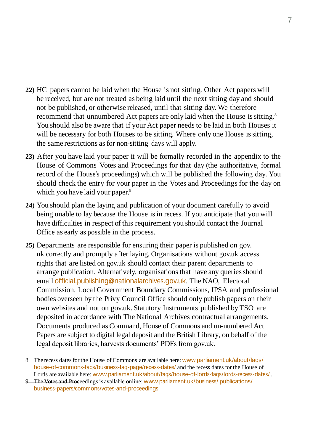- **22)** HC papers cannot be laid when the House is not sitting. Other Act papers will be received, but are not treated as being laid until the next sitting day and should not be published, or otherwise released, until that sitting day. We therefore recommend that unnumbered Act papers are only laid when the House is sitting.<sup>8</sup> You should also be aware that if your Act paper needs to be laid in both Houses it will be necessary for both Houses to be sitting. Where only one House is sitting, the same restrictions asfor non-sitting days will apply.
- **23)** After you have laid your paper it will be formally recorded in the appendix to the House of Commons Votes and Proceedings for that day (the authoritative, formal record of the House's proceedings) which will be published the following day. You should check the entry for your paper in the Votes and Proceedings for the day on which you have laid your paper.<sup>9</sup>
- **24)** You should plan the laying and publication of your document carefully to avoid being unable to lay because the House is in recess. If you anticipate that you will have difficulties in respect of this requirement you should contact the Journal Office as early as possible in the process.
- **25)** Departments are responsible for ensuring their paper is published on gov. uk correctly and promptly after laying. Organisations without gov.uk access rights that are listed on gov.uk should contact their parent departments to arrange publication. Alternatively, organisations that have any queries should email [official.publishing@nationalarchives.gov.uk](mailto:official.publishing@nationalarchives.gsi.gov.uk)[.](mailto:official.publishing@nationalarchives.gsi.gov.uk) The NAO, Electoral Commission, Local Government Boundary Commissions, IPSA and professional bodies overseen by the Privy Council Office should only publish papers on their own websites and not on gov.uk. Statutory Instruments published by TSO are deposited in accordance with The National Archives contractual arrangements. Documents produced as Command, House of Commons and un-numbered Act Papers are subject to digital legal deposit and the British Library, on behalf of the legal deposit libraries, harvests documents' PDFs from gov.uk.

<sup>8</sup> The recess dates for the House of Commons are available here: [www.parliament.uk/about/faqs/](http://www.parliament.uk/about/faqs/house-of-commons-faqs/business-faq-page/recess-dates/) [house-of-commons-faqs/business-faq-page/recess-dates/](http://www.parliament.uk/about/faqs/house-of-commons-faqs/business-faq-page/recess-dates/) and the recess dates for the House of Lords are available here: [www.parliament.uk/about/faqs/house-of-lords-faqs/lords-recess-dates/](http://www.parliament.uk/about/faqs/house-of-lords-faqs/lords-recess-dates/)..

<sup>9</sup> The Votes and Proceedings is available online: [www.parliament.uk/business/](http://www.parliament.uk/business/publications/business-papers/commons/votes-and-proceedings/#session%3D27%26year%3D2016%26month%3D0%26day%3D25) publications/ [business-papers/commons/votes-and-proceedings](http://www.parliament.uk/business/publications/business-papers/commons/votes-and-proceedings/#session%3D27%26year%3D2016%26month%3D0%26day%3D25)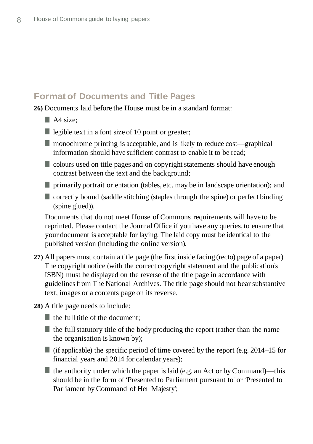### **Format of Documents and Title Pages**

**26)** Documents laid before the House must be in a standard format:

- $\blacksquare$  A4 size:
- legible text in a font size of 10 point or greater;
- $\blacksquare$  monochrome printing is acceptable, and is likely to reduce cost—graphical information should have sufficient contrast to enable it to be read;
- $\blacksquare$  colours used on title pages and on copyright statements should have enough contrast between the text and the background;
- $\blacksquare$  primarily portrait orientation (tables, etc. may be in landscape orientation); and
- **T** correctly bound (saddle stitching (staples through the spine) or perfect binding (spine glued)).

Documents that do not meet House of Commons requirements will have to be reprinted. Please contact the Journal Office if you have any queries, to ensure that your document is acceptable for laying. The laid copy must be identical to the published version (including the online version).

- **27)** All papers must contain a title page (the first inside facing (recto) page of a paper). The copyright notice (with the correct copyright statement and the publication's ISBN) must be displayed on the reverse of the title page in accordance with guidelinesfrom The National Archives. The title page should not bear substantive text, images or a contents page on its reverse.
- **28)** A title page needs to include:
	- $\blacksquare$  the full title of the document:
	- $\blacksquare$  the full statutory title of the body producing the report (rather than the name the organisation is known by);
	- (if applicable) the specific period of time covered by the report (e.g.  $2014-15$  for financial years and 2014 for calendar years);
	- **the authority under which the paper is laid (e.g. an Act or by Command)—this** should be in the form of 'Presented to Parliament pursuant to' or 'Presented to Parliament by Command of Her Majesty';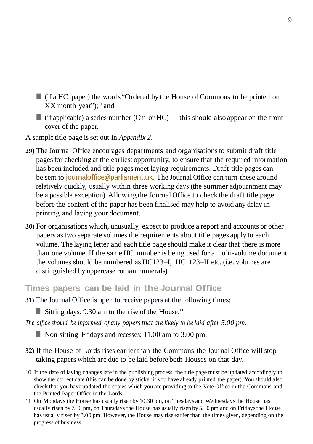- (if a HC paper) the words "Ordered by the House of Commons to be printed on XX month year"); <sup>10</sup> and
- (if applicable) a series number (Cm or HC) —this should also appear on the front cover of the paper.
- A sample title page isset out in *Appendix 2.*
- **29)** The Journal Office encourages departments and organisationsto submit draft title pagesfor checking at the earliest opportunity, to ensure that the required information has been included and title pages meet laying requirements. Draft title pages can be sent to journal office@parliament.uk. The Journal Office can turn these around relatively quickly, usually within three working days (the summer adjournment may be a possible exception). Allowing the Journal Office to check the draft title page before the content of the paper has been finalised may help to avoid any delay in printing and laying your document.
- **30)** For organisations which, unusually, expect to produce a report and accounts or other papers astwo separate volumes the requirements about title pages apply to each volume. The laying letter and each title page should make it clear that there is more than one volume. If the same HC number is being used for a multi-volume document the volumes should be numbered as HC123–I, HC 123–II etc. (i.e. volumes are distinguished by uppercase roman numerals).

#### **Times papers can be laid in the Journal Office**

**31)** The Journal Office is open to receive papers at the following times:

Sitting days: 9.30 am to the rise of the House.<sup>11</sup>

*The office should be informed of any papersthat are likely to be laid after 5.00 pm.*

Non-sitting Fridays and recesses: 11.00 am to 3.00 pm.

**32)** If the House of Lords rises earlierthan the Commons the Journal Office will stop taking papers which are due to be laid before both Houses on that day.

<sup>10</sup> If the date of laying changeslate in the publishing process, the title page must be updated accordingly to show the correct date (this can be done by sticker if you have already printed the paper). You should also check that you have updated the copies which you are providing to the Vote Office in the Commons and the Printed Paper Office in the Lords.

<sup>11</sup> On Mondays the House has usually risen by 10.30 pm, on Tuesdays and Wednesdaysthe House has usually risen by 7.30 pm, on Thursdays the House has usually risen by 5.30 pm and on Fridaysthe House has usually risen by 3.00 pm. However, the House may rise earlier than the times given, depending on the progress of business.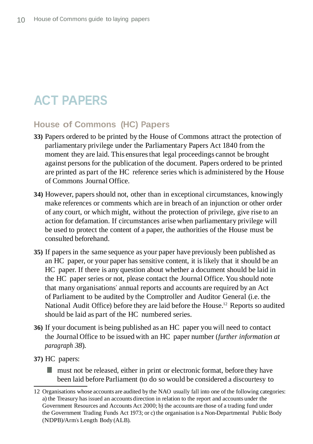# **ACT PAPERS**

### **House of Commons (HC) Papers**

- **33)** Papers ordered to be printed by the House of Commons attract the protection of parliamentary privilege under the Parliamentary Papers Act 1840 from the moment they are laid. This ensures that legal proceedings cannot be brought against personsfor the publication of the document. Papers ordered to be printed are printed as part of the HC reference series which is administered by the House of Commons Journal Office.
- **34)** However, papersshould not, other than in exceptional circumstances, knowingly make references or comments which are in breach of an injunction or other order of any court, or which might, without the protection of privilege, give rise to an action for defamation. If circumstances arise when parliamentary privilege will be used to protect the content of a paper, the authorities of the House must be consulted beforehand.
- **35)** If papersin the same sequence as your paper have previously been published as an HC paper, or your paper has sensitive content, it islikely that it should be an HC paper. If there is any question about whether a document should be laid in the HC paper series or not, please contact the Journal Office. You should note that many organisations' annual reports and accounts are required by an Act of Parliament to be audited by the Comptroller and Auditor General (i.e. the National Audit Office) before they are laid before the House.<sup>12</sup> Reports so audited should be laid as part of the HC numbered series.
- **36)** If your document is being published as an HC paper you will need to contact the Journal Office to be issued with an HC paper number (*further information at paragraph 38*).
- **37)** HC papers:
	- **n** must not be released, either in print or electronic format, before they have been laid before Parliament (to do so would be considered a discourtesy to

<sup>12</sup> Organisations whose accounts are audited by the NAO usually fall into one of the following categories: a) the Treasury hasissued an accounts direction in relation to the report and accounts under the Government Resources and Accounts Act 2000; b) the accounts are those of a trading fund under the Government Trading Funds Act 1973; or c) the organisation is a Non-Departmental Public Body (NDPB)/Arm's Length Body (ALB).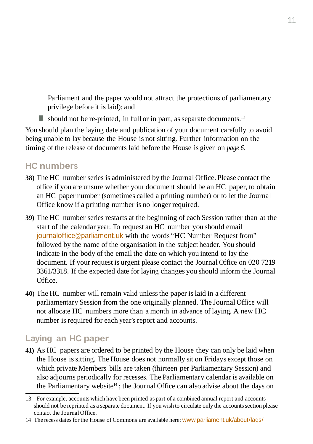Parliament and the paper would not attract the protections of parliamentary privilege before it islaid); and

should not be re-printed, in full or in part, as separate documents.<sup>13</sup>

You should plan the laying date and publication of your document carefully to avoid being unable to lay because the House is not sitting. Further information on the timing of the release of documents laid before the House is given on *page 6*.

## **HC numbers**

- **38)** The HC number series is administered by the Journal Office. Please contact the office if you are unsure whether your document should be an HC paper, to obtain an HC paper number (sometimes called a printing number) or to let the Journal Office know if a printing number is no longer required.
- **39)** The HC number series restarts at the beginning of each Session rather than at the start of the calendar year. To request an HC number you should email [journaloffice@parliament.uk](mailto:journaloffice@parliament.uk) with the words "HC Number Request from" followed by the name of the organisation in the subject header. You should indicate in the body of the email the date on which you intend to lay the document. If your request is urgent please contact the Journal Office on 020 7219 3361/3318. If the expected date for laying changes you should inform the Journal Office.
- **40)** The HC number will remain valid unlessthe paper islaid in a different parliamentary Session from the one originally planned. The Journal Office will not allocate HC numbers more than a month in advance of laying. A new HC number is required for each year's report and accounts.

## **Laying an HC paper**

**41)** As HC papers are ordered to be printed by the House they can only be laid when the House issitting. The House does not normally sit on Fridays except those on which private Members' bills are taken (thirteen per Parliamentary Session) and also adjourns periodically for recesses. The Parliamentary calendar is available on the Parliamentary website<sup>14</sup>; the Journal Office can also advise about the days on

<sup>13</sup> For example, accounts which have been printed as part of a combined annual report and accounts should not be reprinted as a separate document. If you wish to circulate only the accountssection please contact the Journal Office.

<sup>14</sup> The recess dates for the House of Commons are available here: [www.parliament.uk/about/faqs/](http://www.parliament.uk/about/faqs/house-of-commons-faqs/business-faq-page/recess-dates/)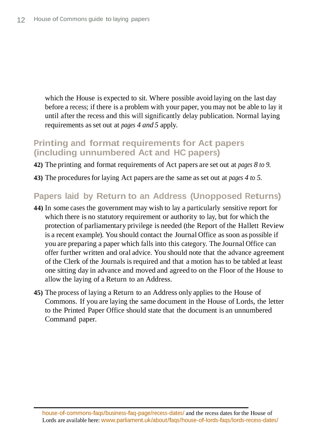which the House is expected to sit. Where possible avoid laying on the last day before a recess; if there is a problem with your paper, you may not be able to lay it until after the recess and this will significantly delay publication. Normal laying requirements asset out at *pages 4 and 5* apply.

#### **Printing and format requirements for Act papers (including unnumbered Act and HC papers)**

- **42)** The printing and format requirements of Act papers are set out at *pages 8 to 9*.
- **43)** The proceduresfor laying Act papers are the same asset out at *pages 4 to 5.*

#### **Papers laid by Return to an Address (Unopposed Returns)**

- **44)** In some cases the government may wish to lay a particularly sensitive report for which there is no statutory requirement or authority to lay, but for which the protection of parliamentary privilege is needed (the Report of the Hallett Review is a recent example). You should contact the Journal Office assoon as possible if you are preparing a paper which falls into this category. The Journal Office can offer further written and oral advice. You should note that the advance agreement of the Clerk of the Journals isrequired and that a motion has to be tabled at least one sitting day in advance and moved and agreed to on the Floor of the House to allow the laying of a Return to an Address.
- **45)** The process of laying a Return to an Address only applies to the House of Commons. If you are laying the same document in the House of Lords, the letter to the Printed Paper Office should state that the document is an unnumbered Command paper.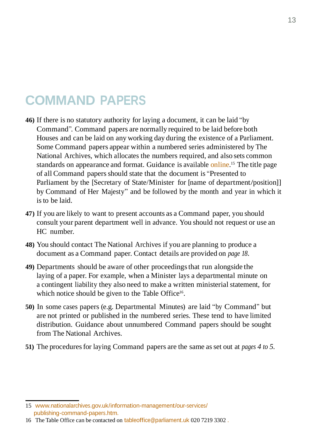## **COMMAND PAPERS**

- **46)** If there is no statutory authority for laying a document, it can be laid "by Command". Command papers are normally required to be laid before both Houses and can be laid on any working day during the existence of a Parliament. Some Command papers appear within a numbered series administered by The National Archives, which allocates the numbers required, and also sets common standards on appearance and format. Guidance is available online.<sup>15</sup> The title page of all Command papersshould state that the document is "Presented to Parliament by the [Secretary of State/Minister for [name of department/position]] by Command of Her Majesty" and be followed by the month and year in which it isto be laid.
- **47)** If you are likely to want to present accounts as a Command paper, you should consult your parent department well in advance. You should not request or use an HC number.
- **48)** You should contact The National Archives if you are planning to produce a document as a Command paper. Contact details are provided on *page 18*.
- **49)** Departments should be aware of other proceedingsthat run alongside the laying of a paper. For example, when a Minister lays a departmental minute on a contingent liability they also need to make a written ministerial statement, for which notice should be given to the Table Office<sup>16</sup>.
- **50)** In some cases papers (e.g. Departmental Minutes) are laid "by Command" but are not printed or published in the numbered series. These tend to have limited distribution. Guidance about unnumbered Command papers should be sought from The National Archives.
- **51)** The proceduresfor laying Command papers are the same asset out at *pages 4 to 5.*

<sup>15</sup> [www.nationalarchives.gov.uk/information-management/our-services/](http://www.nationalarchives.gov.uk/information-management/our-services/publishing-command-papers.htm) [publishing-command-papers.htm.](http://www.nationalarchives.gov.uk/information-management/our-services/publishing-command-papers.htm)

<sup>16</sup> The Table Office can be contacted on [tableoffice@parliament.uk](mailto:tableoffice@parliament.uk) 020 7219 3302 .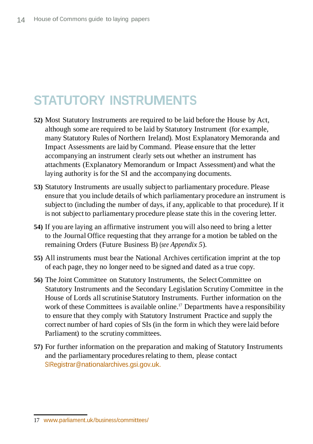# **STATUTORY INSTRUMENTS**

- **52)** Most Statutory Instruments are required to be laid before the House by Act, although some are required to be laid by Statutory Instrument (for example, many Statutory Rules of Northern Ireland). Most Explanatory Memoranda and Impact Assessments are laid by Command. Please ensure that the letter accompanying an instrument clearly sets out whether an instrument has attachments (Explanatory Memorandum or Impact Assessment) and what the laying authority is for the SI and the accompanying documents.
- **53)** Statutory Instruments are usually subject to parliamentary procedure. Please ensure that you include details of which parliamentary procedure an instrument is subject to (including the number of days, if any, applicable to that procedure). If it is not subject to parliamentary procedure please state this in the covering letter.
- **54)** If you are laying an affirmative instrument you will also need to bring a letter to the Journal Office requesting that they arrange for a motion be tabled on the remaining Orders (Future Business B) (*see Appendix 5*).
- **55)** All instruments must bear the National Archives certification imprint at the top of each page, they no longer need to be signed and dated as a true copy.
- **56**) The Joint Committee on Statutory Instruments, the Select Committee on Statutory Instruments and the Secondary Legislation Scrutiny Committee in the House of Lords all scrutinise Statutory Instruments. Further information on the work of these Committees is available online.<sup>17</sup> Departments have a responsibility to ensure that they comply with Statutory Instrument Practice and supply the correct number of hard copies of SIs (in the form in which they were laid before Parliament) to the scrutiny committees.
- **57)** For further information on the preparation and making of Statutory Instruments and the parliamentary procedures relating to them, please contact [SIRegistrar@nationalarchives.gsi.gov.uk.](mailto:SIRegistrar@nationalarchives.gsi.gov.uk)

<sup>17</sup> [www.parliament.uk/business/committees/](http://www.parliament.uk/business/committees/)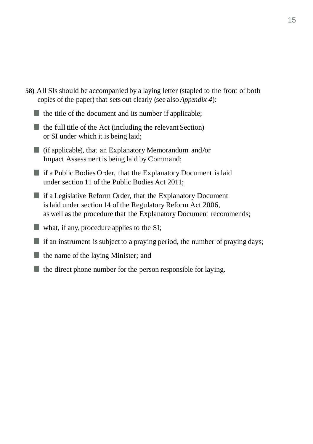- **58)** All SIs should be accompanied by a laying letter (stapled to the front of both copies of the paper) that sets out clearly (see also *Appendix 4*):
	- $\blacksquare$  the title of the document and its number if applicable;
	- $\blacksquare$  the full title of the Act (including the relevant Section) or SI under which it is being laid;
	- $\blacksquare$  (if applicable), that an Explanatory Memorandum and/or Impact Assessment is being laid by Command;
	- **if a Public Bodies Order, that the Explanatory Document is laid** under section 11 of the Public Bodies Act 2011;
	- $\blacksquare$  if a Legislative Reform Order, that the Explanatory Document islaid under section 14 of the Regulatory Reform Act 2006, as well asthe procedure that the Explanatory Document recommends;
	- what, if any, procedure applies to the SI;
	- $\blacksquare$  if an instrument is subject to a praying period, the number of praying days;
	- $\blacksquare$  the name of the laying Minister; and
	- $\blacksquare$  the direct phone number for the person responsible for laying.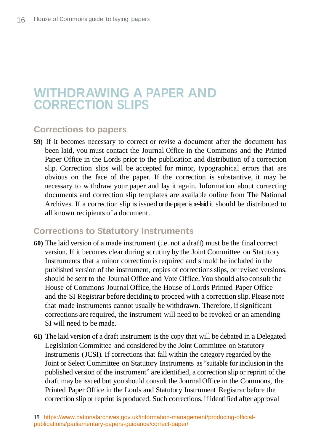## **WITHDRAWING A PAPER AND CORRECTION SLIPS**

### **Corrections to papers**

**59)** If it becomes necessary to correct or revise a document after the document has been laid, you must contact the Journal Office in the Commons and the Printed Paper Office in the Lords prior to the publication and distribution of a correction slip. Correction slips will be accepted for minor, typographical errors that are obvious on the face of the paper. If the correction is substantive, it may be necessary to withdraw your paper and lay it again. Information about correcting documents and correction slip templates are available online from The National Archives. If a correction slip is issued or the paper is re-laid it should be distributed to all known recipients of a document.

#### **Corrections to Statutory Instruments**

- **60)** The laid version of a made instrument (i.e. not a draft) must be the final correct version. If it becomes clear during scrutiny by the Joint Committee on Statutory Instruments that a minor correction is required and should be included in the published version of the instrument, copies of correctionsslips, or revised versions, should be sent to the Journal Office and Vote Office. You should also consult the House of Commons Journal Office, the House of Lords Printed Paper Office and the SI Registrar before deciding to proceed with a correction slip. Please note that made instruments cannot usually be withdrawn. Therefore, if significant corrections are required, the instrument will need to be revoked or an amending SI will need to be made.
- **61)** The laid version of a draft instrument isthe copy that will be debated in a Delegated Legislation Committee and considered by the Joint Committee on Statutory Instruments (JCSI). If corrections that fall within the category regarded by the Joint or Select Committee on Statutory Instruments as "suitable for inclusion in the published version of the instrument" are identified, a correction slip or reprint of the draft may be issued but you should consult the Journal Office in the Commons, the Printed Paper Office in the Lords and Statutory Instrument Registrar before the correction slip or reprint is produced. Such corrections, if identified after approval

<sup>18</sup> https://www.nationalarchives.gov.uk/information-management/producing-officialpublications/parliamentary-papers-guidance/correct-paper/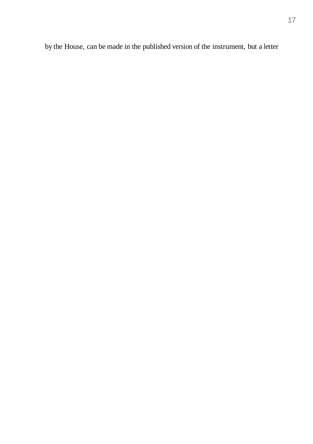by the House, can be made in the published version of the instrument, but a letter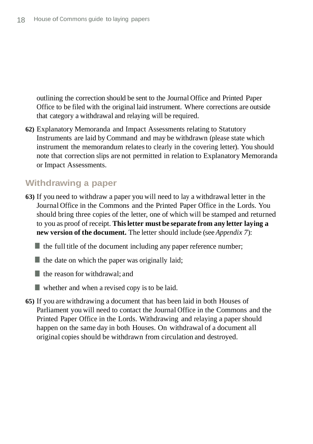outlining the correction should be sent to the Journal Office and Printed Paper Office to be filed with the original laid instrument. Where corrections are outside that category a withdrawal and relaying will be required.

**62)** Explanatory Memoranda and Impact Assessments relating to Statutory Instruments are laid by Command and may be withdrawn (please state which instrument the memorandum relatesto clearly in the covering letter). You should note that correction slips are not permitted in relation to Explanatory Memoranda or Impact Assessments.

#### **Withdrawing a paper**

**63)** If you need to withdraw a paper you will need to lay a withdrawal letter in the Journal Office in the Commons and the Printed Paper Office in the Lords. You should bring three copies of the letter, one of which will be stamped and returned to you as proof of receipt. **Thisletter must be separate from any letter laying a new version of the document.** The letter should include (see *Appendix 7*):

 $\blacksquare$  the full title of the document including any paper reference number;

 $\blacksquare$  the date on which the paper was originally laid;

the reason for withdrawal; and

whether and when a revised copy is to be laid.

**65)** If you are withdrawing a document that has been laid in both Houses of Parliament you will need to contact the Journal Office in the Commons and the Printed Paper Office in the Lords. Withdrawing and relaying a paper should happen on the same day in both Houses. On withdrawal of a document all original copies should be withdrawn from circulation and destroyed.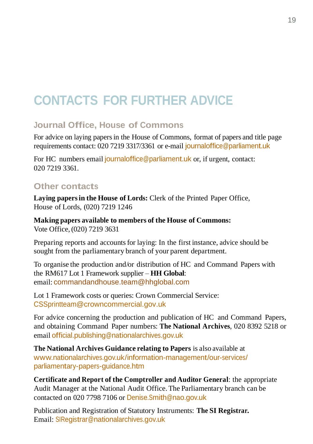# **CONTACTS FOR FURTHER ADVICE**

## **Journal Office, House of Commons**

For advice on laying papersin the House of Commons, format of papers and title page requirements contact: 020 7219 3317/3361 or e-mail journal of fice @parliament.uk

For HC numbers email journal of fice @parliament.uk or, if urgent, contact: 020 7219 3361.

#### **Other contacts**

**Laying papersin the House of Lords:** Clerk of the Printed Paper Office, House of Lords, (020) 7219 1246

**Making papers available to members of the House of Commons:** Vote Office,(020) 7219 3631

Preparing reports and accounts for laying: In the first instance, advice should be sought from the parliamentary branch of your parent department.

To organise the production and/or distribution of HC and Command Papers with the RM617 Lot 1 Framework supplier – **HH Global**: email: commandandhouse.team@hhglobal.com

Lot 1 Framework costs or queries: Crown Commercial Service: CSSprintteam@crowncommercial.gov.uk

For advice concerning the production and publication of HC and Command Papers, and obtaining Command Paper numbers: **The National Archives**, 020 8392 5218 or email [official.publishing@nationalarchives.gov.uk](mailto:official.publishing@nationalarchives.gsi.gov.uk)

**The National Archives Guidance relating to Papers** is also available at [www.nationalarchives.gov.uk/information-management/our-services/](http://www.nationalarchives.gov.uk/information-management/producing-official-publications/parliamentary-papers-guidance/) [parliamentary-papers-guidance.htm](http://www.nationalarchives.gov.uk/information-management/producing-official-publications/parliamentary-papers-guidance/)

**Certificate and Report of the Comptroller and Auditor General**: the appropriate Audit Manager at the National Audit Office.The Parliamentary branch can be contacted on 020 7798 7106 or [Denise.Smith@nao.gov.uk](mailto:Denise.Smith@nao.gsi.gov.uk)

Publication and Registration of Statutory Instruments: **The SI Registrar.** Email: [SIRegistrar@nationalarchives.gov.uk](mailto:SIRegistrar@nationalarchives.gsi.gov.uk)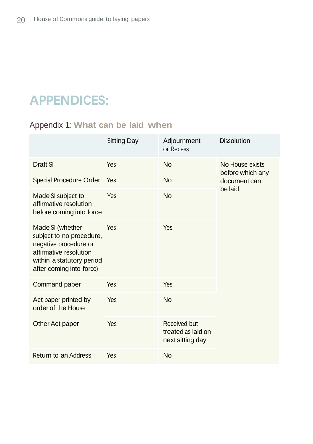# **APPENDICES:**

## Appendix 1: **What can be laid when**

|                                                                                                                                                          | Sitting Day | Adjournment<br>or Recess                               | <b>Dissolution</b>                                              |
|----------------------------------------------------------------------------------------------------------------------------------------------------------|-------------|--------------------------------------------------------|-----------------------------------------------------------------|
| Draft SI                                                                                                                                                 | Yes         | <b>No</b>                                              | No House exists<br>before which any<br>document can<br>be laid. |
| Special Procedure Order                                                                                                                                  | Yes         | <b>No</b>                                              |                                                                 |
| Made SI subject to<br>affirmative resolution<br>before coming into force                                                                                 | Yes         | <b>No</b>                                              |                                                                 |
| Made SI (whether<br>subject to no procedure,<br>negative procedure or<br>affirmative resolution<br>within a statutory period<br>after coming into force) | <b>Yes</b>  | Yes                                                    |                                                                 |
| Command paper                                                                                                                                            | Yes         | Yes                                                    |                                                                 |
| Act paper printed by<br>order of the House                                                                                                               | Yes         | <b>No</b>                                              |                                                                 |
| Other Act paper                                                                                                                                          | Yes         | Received but<br>treated as laid on<br>next sitting day |                                                                 |
| Return to an Address                                                                                                                                     | Yes         | <b>No</b>                                              |                                                                 |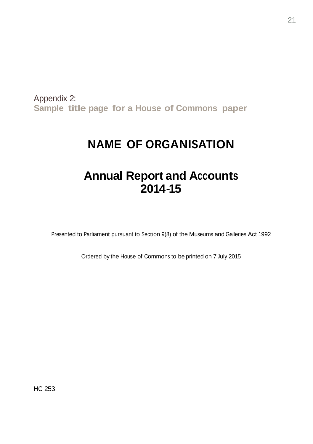Appendix 2: **Sample title page for a House of Commons paper**

## **NAME OF ORGANISATION**

## **Annual Report and Accounts 2014-15**

Presented to Parliament pursuant to Section 9(8) of the Museums and Galleries Act 1992

Ordered by the House of Commons to be printed on 7 July 2015

HC 253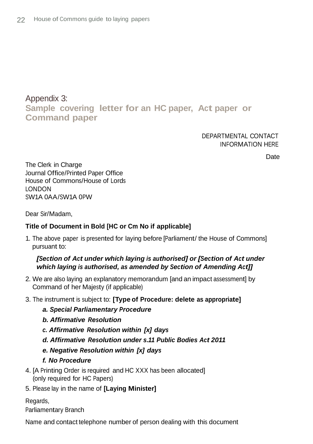#### Appendix 3: **Sample covering letter for an HC paper, Act paper or Command paper**

DEPARTMENTAL CONTACT INFORMATION HERE

**Date** 

The Clerk in Charge Journal Office/Printed Paper Office House of Commons/House of Lords LONDON SW1A 0AA/SW1A 0PW

Dear Sir/Madam,

#### **Title of Document in Bold [HC or Cm No if applicable]**

1. The above paper is presented for laying before [Parliament/ the House of Commons] pursuant to:

#### *[Section of Act under which laying is authorised] or [Section of Act under which laying is authorised, as amended by Section of Amending Act]]*

- 2. We are also laying an explanatory memorandum [and an impact assessment] by Command of her Majesty (if applicable)
- 3. The instrument is subject to: **[Type of Procedure: delete as appropriate]**
	- *a. Special Parliamentary Procedure*
	- *b. Affirmative Resolution*
	- *c. Affirmative Resolution within [x] days*
	- *d. Affirmative Resolution under s.11 Public Bodies Act 2011*
	- *e. Negative Resolution within [x] days*

#### *f. No Procedure*

- 4. [A Printing Order is required and HC XXX has been allocated] (only required for HC Papers)
- 5. Please lay in the name of **[Laying Minister]**

Regards, Parliamentary Branch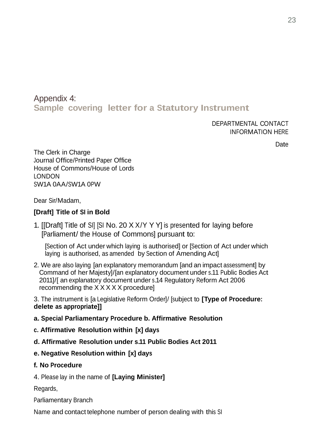#### Appendix 4: **Sample covering letter for a Statutory Instrument**

DEPARTMENTAL CONTACT INFORMATION HERE

Date

The Clerk in Charge Journal Office/Printed Paper Office House of Commons/House of Lords LONDON SW1A 0AA/SW1A 0PW

Dear Sir/Madam,

#### **[Draft] Title of SI in Bold**

1. [[Draft] Title of SI] [SI No. 20 X X/Y Y Y] is presented for laying before [Parliament/ the House of Commons] pursuant to:

[Section of Act under which laying is authorised] or [Section of Act under which laying is authorised, as amended by Section of Amending Act]

2. We are also laying [an explanatory memorandum [and an impact assessment] by Command of her Majesty]/[an explanatory document under s.11 Public Bodies Act 2011]/[ an explanatory document under s.14 Regulatory Reform Act 2006 recommending the X X X X X procedure]

3. The instrument is [a Legislative Reform Order]/ [subject to **[Type of Procedure: delete as appropriate]]**

- **a. Special Parliamentary Procedure b. Affirmative Resolution**
- **c. Affirmative Resolution within [x] days**
- **d. Affirmative Resolution under s.11 Public Bodies Act 2011**
- **e. Negative Resolution within [x] days**

#### **f. No Procedure**

4. Please lay in the name of **[Laying Minister]**

Regards,

Parliamentary Branch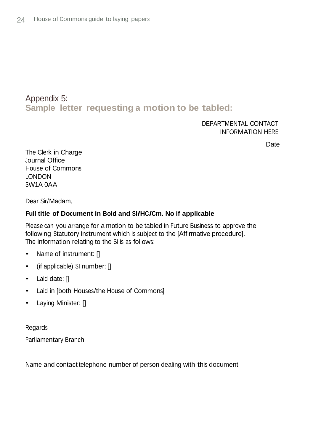### Appendix 5: **Sample letter requesting a motion to be tabled:**

#### DEPARTMENTAL CONTACT INFORMATION HERE

**Date** 

The Clerk in Charge Journal Office House of Commons LONDON SW1A 0AA

Dear Sir/Madam,

#### **Full title of Document in Bold and SI/HC/Cm. No if applicable**

Please can you arrange for a motion to be tabled in Future Business to approve the following Statutory Instrument which is subject to the [Affirmative procedure]. The information relating to the SI is as follows:

- Name of instrument: []
- (if applicable) SI number: []
- Laid date: []
- Laid in [both Houses/the House of Commons]
- Laying Minister: []

Regards Parliamentary Branch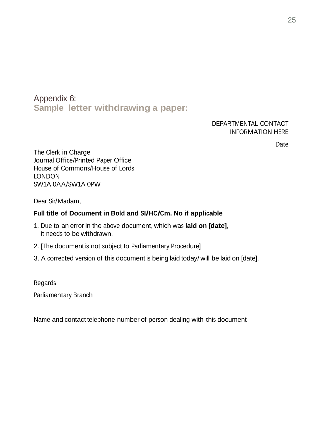Appendix 6: **Sample letter withdrawing a paper:**

#### DEPARTMENTAL CONTACT INFORMATION HERE

**Date** 

The Clerk in Charge Journal Office/Printed Paper Office House of Commons/House of Lords LONDON SW1A 0AA/SW1A 0PW

Dear Sir/Madam,

#### **Full title of Document in Bold and SI/HC/Cm. No if applicable**

- 1. Due to an error in the above document, which was **laid on [date]**, it needs to be withdrawn.
- 2. [The document is not subject to Parliamentary Procedure]
- 3. A corrected version of this document is being laid today/ will be laid on [date].

Regards Parliamentary Branch